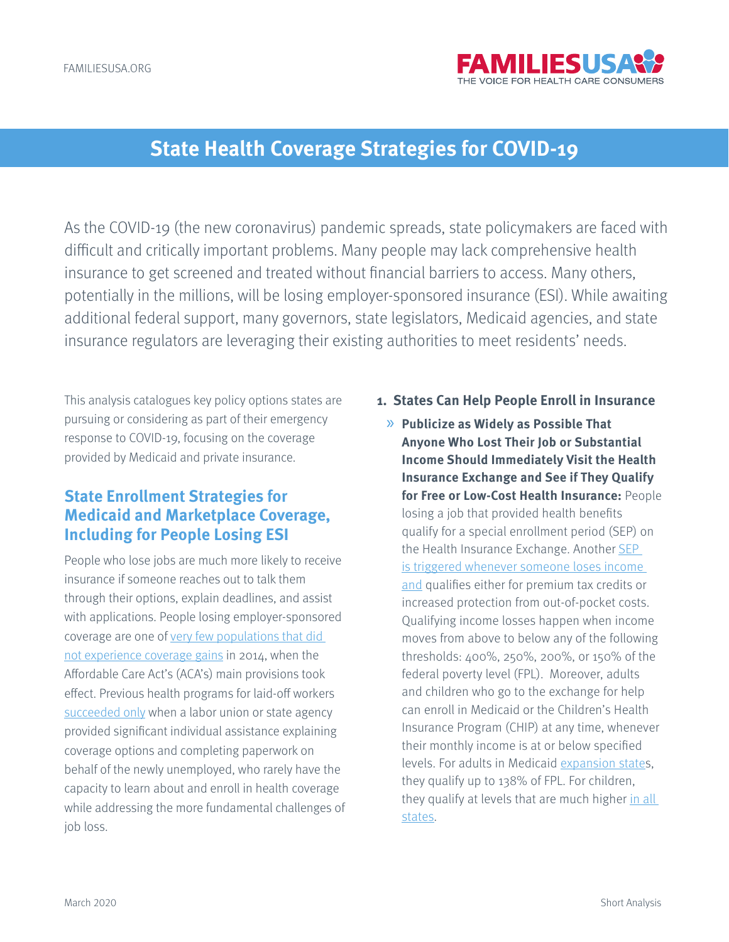

# **State Health Coverage Strategies for COVID-19**

As the COVID-19 (the new coronavirus) pandemic spreads, state policymakers are faced with difficult and critically important problems. Many people may lack comprehensive health insurance to get screened and treated without financial barriers to access. Many others, potentially in the millions, will be losing employer-sponsored insurance (ESI). While awaiting additional federal support, many governors, state legislators, Medicaid agencies, and state insurance regulators are leveraging their existing authorities to meet residents' needs.

This analysis catalogues key policy options states are pursuing or considering as part of their emergency response to COVID-19, focusing on the coverage provided by Medicaid and private insurance.

# **State Enrollment Strategies for Medicaid and Marketplace Coverage, Including for People Losing ESI**

People who lose jobs are much more likely to receive insurance if someone reaches out to talk them through their options, explain deadlines, and assist with applications. People losing employer-sponsored coverage are one of [very few populations that did](https://www.healthaffairs.org/doi/10.1377/hlthaff.2016.1165)  [not experience coverage gains](https://www.healthaffairs.org/doi/10.1377/hlthaff.2016.1165) in 2014, when the Affordable Care Act's (ACA's) main provisions took effect. Previous health programs for laid-off workers [succeeded only](https://www.urban.org/sites/default/files/publication/50981/411390-take-up-of-health-coverage-tax-credits.pdf) when a labor union or state agency provided significant individual assistance explaining coverage options and completing paperwork on behalf of the newly unemployed, who rarely have the capacity to learn about and enroll in health coverage while addressing the more fundamental challenges of job loss.

#### **1. States Can Help People Enroll in Insurance**

» **Publicize as Widely as Possible That Anyone Who Lost Their Job or Substantial Income Should Immediately Visit the Health Insurance Exchange and See if They Qualify for Free or Low-Cost Health Insurance:** People losing a job that provided health benefits qualify for a special enrollment period (SEP) on the Health Insurance Exchange. Another [SEP](https://marketplace.cms.gov/outreach-and-education/special-enrollment-periods-available-to-consumers.pdf)  [is triggered whenever someone loses income](https://marketplace.cms.gov/outreach-and-education/special-enrollment-periods-available-to-consumers.pdf)  [and](https://marketplace.cms.gov/outreach-and-education/special-enrollment-periods-available-to-consumers.pdf) qualifies either for premium tax credits or increased protection from out-of-pocket costs. Qualifying income losses happen when income moves from above to below any of the following thresholds: 400%, 250%, 200%, or 150% of the federal poverty level (FPL). Moreover, adults and children who go to the exchange for help can enroll in Medicaid or the Children's Health Insurance Program (CHIP) at any time, whenever their monthly income is at or below specified levels. For adults in Medicaid [expansion state](https://www.kff.org/health-reform/state-indicator/state-activity-around-expanding-medicaid-under-the-affordable-care-act/?currentTimeframe=0&sortModel=%7B%22colId%22:%22Location%22,%22sort%22:%22asc%22%7D)s, they qualify up to 138% of FPL. For children, they qualify at levels that are much higher in all [states.](https://www.kff.org/medicaid/state-indicator/medicaidchip-upper-income-eligibility-limits-for-children/?currentTimeframe=0&sortModel=%7B%22colId%22:%22Location%22,%22sort%22:%22asc%22%7D)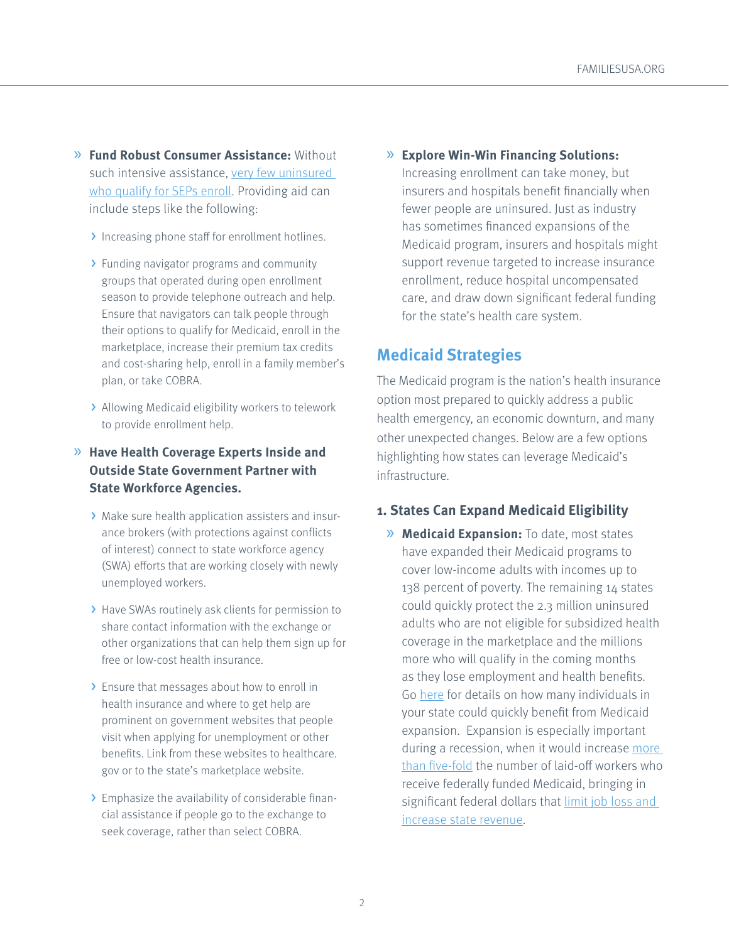- » **Fund Robust Consumer Assistance:** Without such intensive assistance, [very few uninsured](http://www.urban.org/sites/default/files/publication/74561/2000522-More-than-10-Million-Uninsured-Could-Obtain-Marketplace-Coverage-through-Special-Enrollment-Periods.pdf)  [who qualify for SEPs enroll](http://www.urban.org/sites/default/files/publication/74561/2000522-More-than-10-Million-Uninsured-Could-Obtain-Marketplace-Coverage-through-Special-Enrollment-Periods.pdf). Providing aid can include steps like the following:
	- > Increasing phone staff for enrollment hotlines.
	- > Funding navigator programs and community groups that operated during open enrollment season to provide telephone outreach and help. Ensure that navigators can talk people through their options to qualify for Medicaid, enroll in the marketplace, increase their premium tax credits and cost-sharing help, enroll in a family member's plan, or take COBRA.
	- > Allowing Medicaid eligibility workers to telework to provide enrollment help.

### » **Have Health Coverage Experts Inside and Outside State Government Partner with State Workforce Agencies.**

- > Make sure health application assisters and insurance brokers (with protections against conflicts of interest) connect to state workforce agency (SWA) efforts that are working closely with newly unemployed workers.
- > Have SWAs routinely ask clients for permission to share contact information with the exchange or other organizations that can help them sign up for free or low-cost health insurance.
- > Ensure that messages about how to enroll in health insurance and where to get help are prominent on government websites that people visit when applying for unemployment or other benefits. Link from these websites to healthcare. gov or to the state's marketplace website.
- > Emphasize the availability of considerable financial assistance if people go to the exchange to seek coverage, rather than select COBRA.

» **Explore Win-Win Financing Solutions:** 

Increasing enrollment can take money, but insurers and hospitals benefit financially when fewer people are uninsured. Just as industry has sometimes financed expansions of the Medicaid program, insurers and hospitals might support revenue targeted to increase insurance enrollment, reduce hospital uncompensated care, and draw down significant federal funding for the state's health care system.

# **Medicaid Strategies**

The Medicaid program is the nation's health insurance option most prepared to quickly address a public health emergency, an economic downturn, and many other unexpected changes. Below are a few options highlighting how states can leverage Medicaid's infrastructure.

### **1. States Can Expand Medicaid Eligibility**

» **Medicaid Expansion:** To date, most states have expanded their Medicaid programs to cover low-income adults with incomes up to 138 percent of poverty. The remaining 14 states could quickly protect the 2.3 million uninsured adults who are not eligible for subsidized health coverage in the marketplace and the millions more who will qualify in the coming months as they lose employment and health benefits. Go [here](https://www.kff.org/medicaid/issue-brief/the-coverage-gap-uninsured-poor-adults-in-states-that-do-not-expand-medicaid/) for details on how many individuals in your state could quickly benefit from Medicaid expansion. Expansion is especially important during a recession, when it would increase [more](https://www.ncbi.nlm.nih.gov/pubmed/32129138)  [than five-fold](https://www.ncbi.nlm.nih.gov/pubmed/32129138) the number of laid-off workers who receive federally funded Medicaid, bringing in significant federal dollars that limit job loss and [increase state revenue](https://www.healthaffairs.org/do/10.1377/hblog20160321.054035/full/).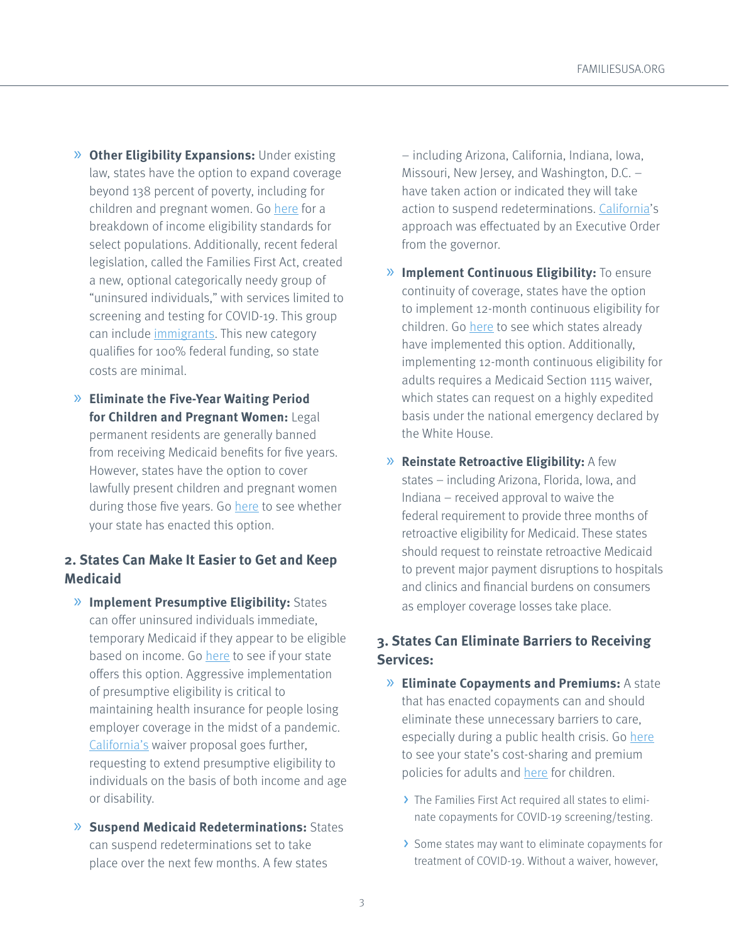- » **Other Eligibility Expansions:** Under existing law, states have the option to expand coverage beyond 138 percent of poverty, including for children and pregnant women. Go [here](https://www.medicaid.gov/medicaid/national-medicaid-chip-program-information/medicaid-childrens-health-insurance-program-basic-health-program-eligibility-levels/index.html) for a breakdown of income eligibility standards for select populations. Additionally, recent federal legislation, called the Families First Act, created a new, optional categorically needy group of "uninsured individuals," with services limited to screening and testing for COVID-19. This group can include *immigrants*. This new category qualifies for 100% federal funding, so state costs are minimal.
- » **Eliminate the Five-Year Waiting Period for Children and Pregnant Women:** Legal permanent residents are generally banned from receiving Medicaid benefits for five years. However, states have the option to cover lawfully present children and pregnant women during those five years. Go [here](https://www.kff.org/health-reform/state-indicator/medicaid-chip-coverage-of-lawfully-residing-immigrant-children-and-pregnant-women/?currentTimeframe=0&sortModel=%7B%22colId%22:%22Location%22,%22sort%22:%22asc%22%7D) to see whether your state has enacted this option.

### **2. States Can Make It Easier to Get and Keep Medicaid**

- » **Implement Presumptive Eligibility:** States can offer uninsured individuals immediate, temporary Medicaid if they appear to be eligible based on income. Go [here](https://www.kff.org/health-reform/state-indicator/presumptive-eligibility-in-medicaid-chip/?currentTimeframe=0&sortModel=%7B%22colId%22:%22Location%22,%22sort%22:%22asc%22%7D) to see if your state offers this option. Aggressive implementation of presumptive eligibility is critical to maintaining health insurance for people losing employer coverage in the midst of a pandemic. [California's](https://www.dhcs.ca.gov/Documents/COVID-19/CA-1135-Waiver-COVID-19-031620.pdf) waiver proposal goes further, requesting to extend presumptive eligibility to individuals on the basis of both income and age or disability.
- » **Suspend Medicaid Redeterminations:** States can suspend redeterminations set to take place over the next few months. A few states

– including Arizona, California, Indiana, Iowa, Missouri, New Jersey, and Washington, D.C. – have taken action or indicated they will take action to suspend redeterminations. [California](https://www.gov.ca.gov/wp-content/uploads/2020/03/3.17.20-N-29-20-EO.pdf)'s approach was effectuated by an Executive Order from the governor.

- » **Implement Continuous Eligibility:** To ensure continuity of coverage, states have the option to implement 12-month continuous eligibility for children. Go [here](https://www.kff.org/health-reform/state-indicator/state-adoption-of-12-month-continuous-eligibility-for-childrens-medicaid-and-chip/?currentTimeframe=0&sortModel=%7B%22colId%22:%22Location%22,%22sort%22:%22asc%22%7D) to see which states already have implemented this option. Additionally, implementing 12-month continuous eligibility for adults requires a Medicaid Section 1115 waiver, which states can request on a highly expedited basis under the national emergency declared by the White House.
- » **Reinstate Retroactive Eligibility:** A few states – including Arizona, Florida, Iowa, and Indiana – received approval to waive the federal requirement to provide three months of retroactive eligibility for Medicaid. These states should request to reinstate retroactive Medicaid to prevent major payment disruptions to hospitals and clinics and financial burdens on consumers as employer coverage losses take place.

### **3. States Can Eliminate Barriers to Receiving Services:**

- » **Eliminate Copayments and Premiums:** A state that has enacted copayments can and should eliminate these unnecessary barriers to care, especially during a public health crisis. Go [here](https://www.kff.org/health-reform/state-indicator/premium-and-cost-sharing-requirements-for-selected-services-for-medicaid-expansion-adults/?currentTimeframe=0&sortModel=%7B%22colId%22:%22Location%22,%22sort%22:%22asc%22%7D) to see your state's cost-sharing and premium policies for adults and [here](https://www.kff.org/medicaid/state-indicator/premiums-enrollment-fees-and-cost-sharing-requirements-for-children/?currentTimeframe=0&sortModel=%7B%22colId%22:%22Location%22,%22sort%22:%22asc%22%7D) for children.
	- > The Families First Act required all states to eliminate copayments for COVID-19 screening/testing.
	- > Some states may want to eliminate copayments for treatment of COVID-19. Without a waiver, however,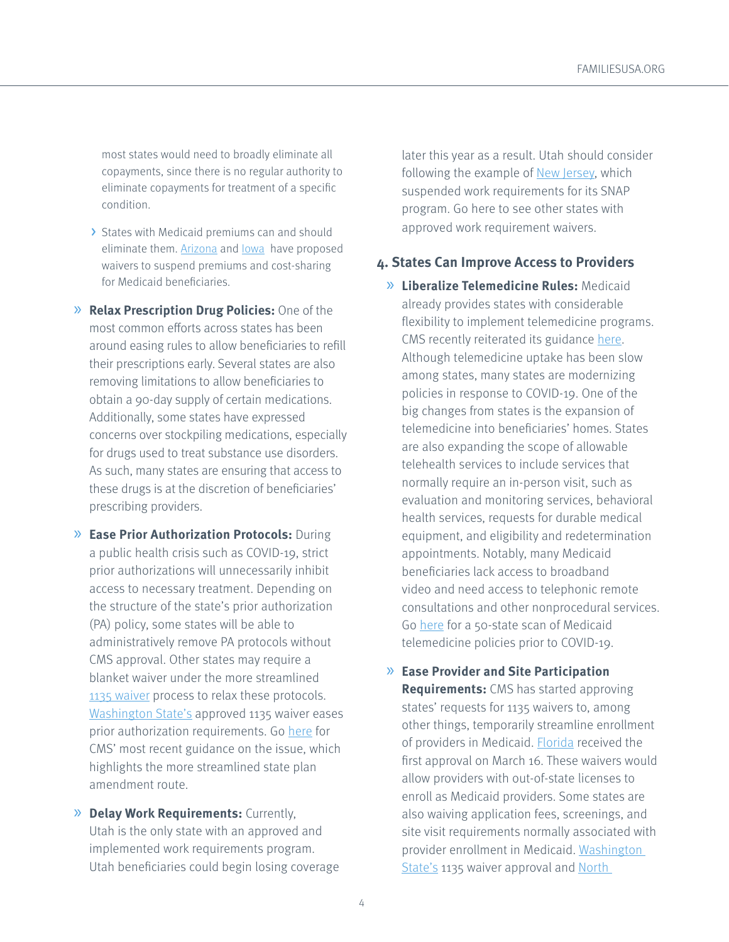most states would need to broadly eliminate all copayments, since there is no regular authority to eliminate copayments for treatment of a specific condition.

- > States with Medicaid premiums can and should eliminate them. **Arizona** and lowa have proposed waivers to suspend premiums and cost-sharing for Medicaid beneficiaries.
- » **Relax Prescription Drug Policies:** One of the most common efforts across states has been around easing rules to allow beneficiaries to refill their prescriptions early. Several states are also removing limitations to allow beneficiaries to obtain a 90-day supply of certain medications. Additionally, some states have expressed concerns over stockpiling medications, especially for drugs used to treat substance use disorders. As such, many states are ensuring that access to these drugs is at the discretion of beneficiaries' prescribing providers.
- » **Ease Prior Authorization Protocols:** During a public health crisis such as COVID-19, strict prior authorizations will unnecessarily inhibit access to necessary treatment. Depending on the structure of the state's prior authorization (PA) policy, some states will be able to administratively remove PA protocols without CMS approval. Other states may require a blanket waiver under the more streamlined [1135 waiver](https://www.cms.gov/Medicare/Provider-Enrollment-and-Certification/SurveyCertEmergPrep/Downloads/1135-Waivers-At-A-Glance.pdf) process to relax these protocols. [Washington State's](https://www.medicaid.gov/state-resource-center/disaster-response-toolkit/federal-disaster-resources/?entry=54022) approved 1135 waiver eases prior authorization requirements. Go [here](https://www.medicaid.gov/state-resource-center/downloads/covid-19-faqs.pdf) for CMS' most recent guidance on the issue, which highlights the more streamlined state plan amendment route.
- » **Delay Work Requirements:** Currently, Utah is the only state with an approved and implemented work requirements program. Utah beneficiaries could begin losing coverage

later this year as a result. Utah should consider following the example of [New Jersey](https://nj.gov/humanservices/documents/covid/MODIFICATION%20OF%20WFNJ%20SNAP%20REQUIREMENTS%20FOR%20COVID19%20PREPAREDNESS.pdf), which suspended work requirements for its SNAP program. Go here to see other states with approved work requirement waivers.

#### **4. States Can Improve Access to Providers**

- » **Liberalize Telemedicine Rules:** Medicaid already provides states with considerable flexibility to implement telemedicine programs. CMS recently reiterated its guidance [here](https://www.medicaid.gov/medicaid/benefits/downloads/medicaid-telehealth-services.pdf). Although telemedicine uptake has been slow among states, many states are modernizing policies in response to COVID-19. One of the big changes from states is the expansion of telemedicine into beneficiaries' homes. States are also expanding the scope of allowable telehealth services to include services that normally require an in-person visit, such as evaluation and monitoring services, behavioral health services, requests for durable medical equipment, and eligibility and redetermination appointments. Notably, many Medicaid beneficiaries lack access to broadband video and need access to telephonic remote consultations and other nonprocedural services. Go [here](https://www.cchpca.org/sites/default/files/2019-10/50%20State%20Telehalth%20Laws%20and%20Reibmursement%20Policies%20Report%20Fall%202019%20FINAL.pdf) for a 50-state scan of Medicaid telemedicine policies prior to COVID-19.
- » **Ease Provider and Site Participation Requirements:** CMS has started approving states' requests for 1135 waivers to, among other things, temporarily streamline enrollment of providers in Medicaid. [Florida](https://www.medicaid.gov/state-resource-center/downloads/fl-section-1135-appvl.pdf) received the first approval on March 16. These waivers would allow providers with out-of-state licenses to enroll as Medicaid providers. Some states are also waiving application fees, screenings, and site visit requirements normally associated with provider enrollment in Medicaid. [Washington](https://www.medicaid.gov/state-resource-center/disaster-response-toolkit/federal-disaster-resources/?entry=54022)  [State's](https://www.medicaid.gov/state-resource-center/disaster-response-toolkit/federal-disaster-resources/?entry=54022) 1135 waiver approval and North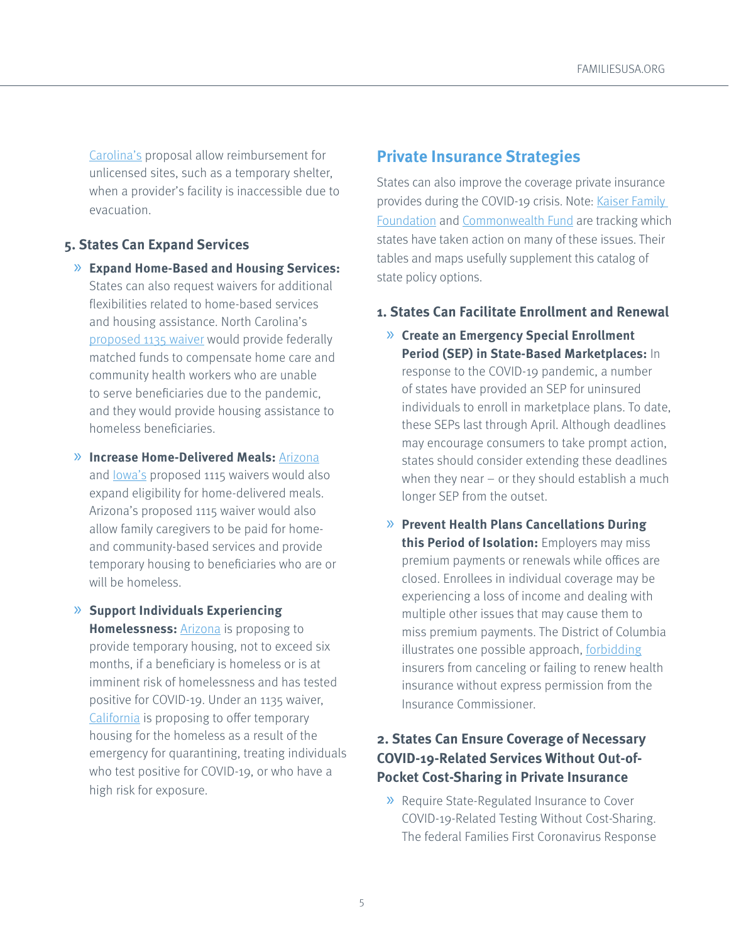[Carolina's](https://files.nc.gov/ncdma/covid-19/NCMedicaid-COVID19-CMS-1135-Flexibilities-20200317.pdf) proposal allow reimbursement for unlicensed sites, such as a temporary shelter, when a provider's facility is inaccessible due to evacuation.

### **5. States Can Expand Services**

- » **Expand Home-Based and Housing Services:**  States can also request waivers for additional flexibilities related to home-based services and housing assistance. North Carolina's [proposed 1135 waiver](https://files.nc.gov/ncdma/covid-19/NCMedicaid-COVID19-CMS-1135-Flexibilities-20200317.pdf) would provide federally matched funds to compensate home care and community health workers who are unable to serve beneficiaries due to the pandemic, and they would provide housing assistance to homeless beneficiaries.
- » **Increase Home-Delivered Meals:** [Arizona](https://www.azahcccs.gov/Resources/Downloads/1115Waiver/AZ_RequestForCOVID_19_EmergencyAuthorities_03172020.pdf) and lowa's proposed 1115 waivers would also
	- expand eligibility for home-delivered meals. Arizona's proposed 1115 waiver would also allow family caregivers to be paid for homeand community-based services and provide temporary housing to beneficiaries who are or will be homeless.
- » **Support Individuals Experiencing Homelessness:** [Arizona](https://www.azahcccs.gov/Resources/Downloads/1115Waiver/AZ_RequestForCOVID_19_EmergencyAuthorities_03172020.pdf) is proposing to provide temporary housing, not to exceed six months, if a beneficiary is homeless or is at imminent risk of homelessness and has tested positive for COVID-19. Under an 1135 waiver, [California](https://www.dhcs.ca.gov/Documents/COVID-19/CA-1135-Waiver-COVID-19-031620.pdf) is proposing to offer temporary housing for the homeless as a result of the emergency for quarantining, treating individuals who test positive for COVID-19, or who have a high risk for exposure.

# **Private Insurance Strategies**

States can also improve the coverage private insurance provides during the COVID-19 crisis. Note: Kaiser Family [Foundation](https://www.kff.org/health-costs/issue-brief/state-data-and-policy-actions-to-address-coronavirus/) and [Commonwealth Fund](https://www.commonwealthfund.org/blog/2020/what-are-state-officials-doing-make-private-health-insurance-work-better-consumers-during) are tracking which states have taken action on many of these issues. Their tables and maps usefully supplement this catalog of state policy options.

### **1. States Can Facilitate Enrollment and Renewal**

- » **Create an Emergency Special Enrollment Period (SEP) in State-Based Marketplaces:** In response to the COVID-19 pandemic, a number of states have provided an SEP for uninsured individuals to enroll in marketplace plans. To date, these SEPs last through April. Although deadlines may encourage consumers to take prompt action, states should consider extending these deadlines when they near – or they should establish a much longer SEP from the outset.
- » **Prevent Health Plans Cancellations During this Period of Isolation:** Employers may miss premium payments or renewals while offices are closed. Enrollees in individual coverage may be experiencing a loss of income and dealing with multiple other issues that may cause them to miss premium payments. The District of Columbia illustrates one possible approach, [forbidding](https://disb.dc.gov/sites/default/files/u65602/Order-re-Emergency-Response-to-COVID-19-03.20.2020-sec.pdf) insurers from canceling or failing to renew health insurance without express permission from the Insurance Commissioner.

### **2. States Can Ensure Coverage of Necessary COVID-19-Related Services Without Out-of-Pocket Cost-Sharing in Private Insurance**

» Require State-Regulated Insurance to Cover COVID-19-Related Testing Without Cost-Sharing. The federal Families First Coronavirus Response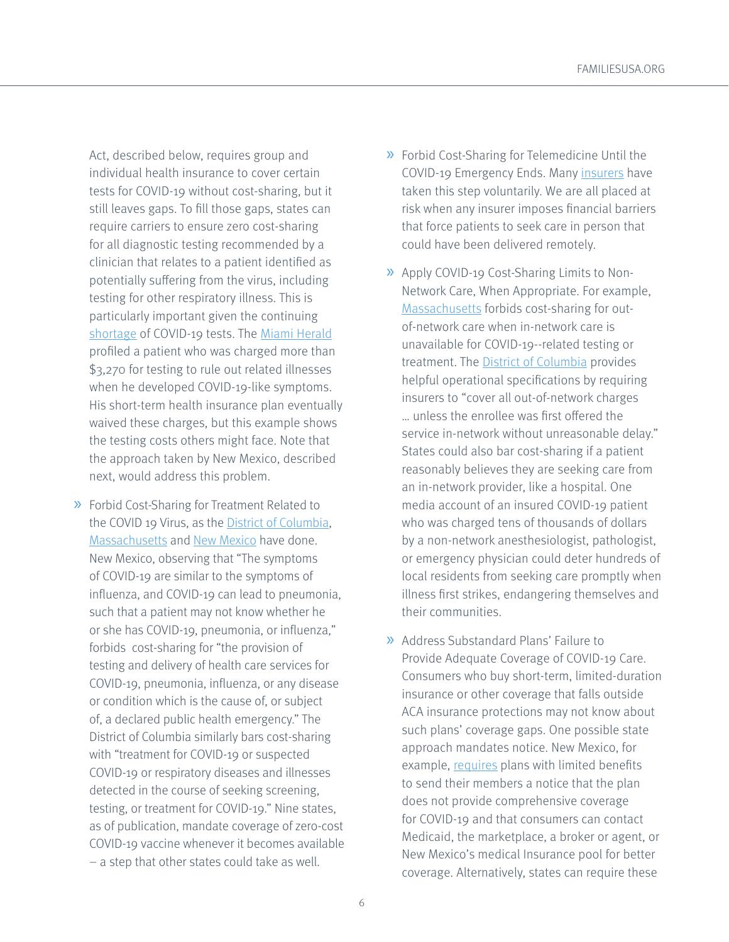Act, described below, requires group and individual health insurance to cover certain tests for COVID-19 without cost-sharing, but it still leaves gaps. To fill those gaps, states can require carriers to ensure zero cost-sharing for all diagnostic testing recommended by a clinician that relates to a patient identified as potentially suffering from the virus, including testing for other respiratory illness. This is particularly important given the continuing [shortage](https://thehill.com/policy/healthcare/488683-in-wake-of-shortages-democrats-press-insurers-to-cover-all-coronavirus) of COVID-19 tests. The [Miami Herald](https://www.miamiherald.com/news/health-care/article240476806.html) profiled a patient who was charged more than \$3,270 for testing to rule out related illnesses when he developed COVID-19-like symptoms. His short-term health insurance plan eventually waived these charges, but this example shows the testing costs others might face. Note that the approach taken by New Mexico, described next, would address this problem.

» Forbid Cost-Sharing for Treatment Related to the COVID 19 Virus, as the **[District of Columbia](https://disb.dc.gov/sites/default/files/u65602/Order-re-Emergency-Response-to-COVID-19-03.20.2020-sec.pdf)**, [Massachusetts](https://www.mass.gov/doc/bulletin-2020-02-addressing-covid-19-coronavirus-testing-and-treatment-issued-362020/download) and [New Mexico](https://urldefense.proofpoint.com/v2/url?u=https-3A__nmhealth.org_publication_view_rules_5670_&d=DwMFAg&c=L93KkjKsAC98uTvC4KvQDdTDRzAeWDDRmG6S3YXllH0&r=0JRIh48MQ-bTDZm2j1yIIIm8N7QQx2l-5XDxXlT6NXo&m=0-AGaxsA9xwiKTHzjna3uV6x_UEKjEtFNF3nt7rZxXE&s=xay0dcK5JGpMsdFL6kQvsCxcu9ZUhqL5p7mjik7grxk&e=) have done. New Mexico, observing that "The symptoms of COVID-19 are similar to the symptoms of influenza, and COVID-19 can lead to pneumonia, such that a patient may not know whether he or she has COVID-19, pneumonia, or influenza," forbids cost-sharing for "the provision of testing and delivery of health care services for COVID-19, pneumonia, influenza, or any disease or condition which is the cause of, or subject of, a declared public health emergency." The District of Columbia similarly bars cost-sharing with "treatment for COVID-19 or suspected COVID-19 or respiratory diseases and illnesses detected in the course of seeking screening, testing, or treatment for COVID-19." Nine states, as of publication, mandate coverage of zero-cost COVID-19 vaccine whenever it becomes available – a step that other states could take as well.

- » Forbid Cost-Sharing for Telemedicine Until the COVID-19 Emergency Ends. Many [insurers](https://urldefense.proofpoint.com/v2/url?u=https-3A__www.ahip.org_health-2Dinsurance-2Dproviders-2Drespond-2Dto-2Dcoronavirus-2Dcovid-2D19_&d=DwMFAg&c=L93KkjKsAC98uTvC4KvQDdTDRzAeWDDRmG6S3YXllH0&r=0JRIh48MQ-bTDZm2j1yIIIm8N7QQx2l-5XDxXlT6NXo&m=0-AGaxsA9xwiKTHzjna3uV6x_UEKjEtFNF3nt7rZxXE&s=1p7eIkyC92VFWRGFoLj_vnDY8kcnPnPVe68UTHZuN58&e=) have taken this step voluntarily. We are all placed at risk when any insurer imposes financial barriers that force patients to seek care in person that could have been delivered remotely.
- » Apply COVID-19 Cost-Sharing Limits to Non-Network Care, When Appropriate. For example, [Massachusetts](https://www.mass.gov/doc/bulletin-2020-02-addressing-covid-19-coronavirus-testing-and-treatment-issued-362020/download) forbids cost-sharing for outof-network care when in-network care is unavailable for COVID-19--related testing or treatment. The [District of Columbia](https://disb.dc.gov/sites/default/files/u65602/Order-re-Emergency-Response-to-COVID-19-03.20.2020-sec.pdf) provides helpful operational specifications by requiring insurers to "cover all out-of-network charges … unless the enrollee was first offered the service in-network without unreasonable delay." States could also bar cost-sharing if a patient reasonably believes they are seeking care from an in-network provider, like a hospital. One media account of an insured COVID-19 patient who was charged tens of thousands of dollars by a non-network anesthesiologist, pathologist, or emergency physician could deter hundreds of local residents from seeking care promptly when illness first strikes, endangering themselves and their communities.
- » Address Substandard Plans' Failure to Provide Adequate Coverage of COVID-19 Care. Consumers who buy short-term, limited-duration insurance or other coverage that falls outside ACA insurance protections may not know about such plans' coverage gaps. One possible state approach mandates notice. New Mexico, for example, [requires](https://familiesusa.app.box.com/s/87hfcxvxdeoklmx2fea9h2ur25md16sq) plans with limited benefits to send their members a notice that the plan does not provide comprehensive coverage for COVID-19 and that consumers can contact Medicaid, the marketplace, a broker or agent, or New Mexico's medical Insurance pool for better coverage. Alternatively, states can require these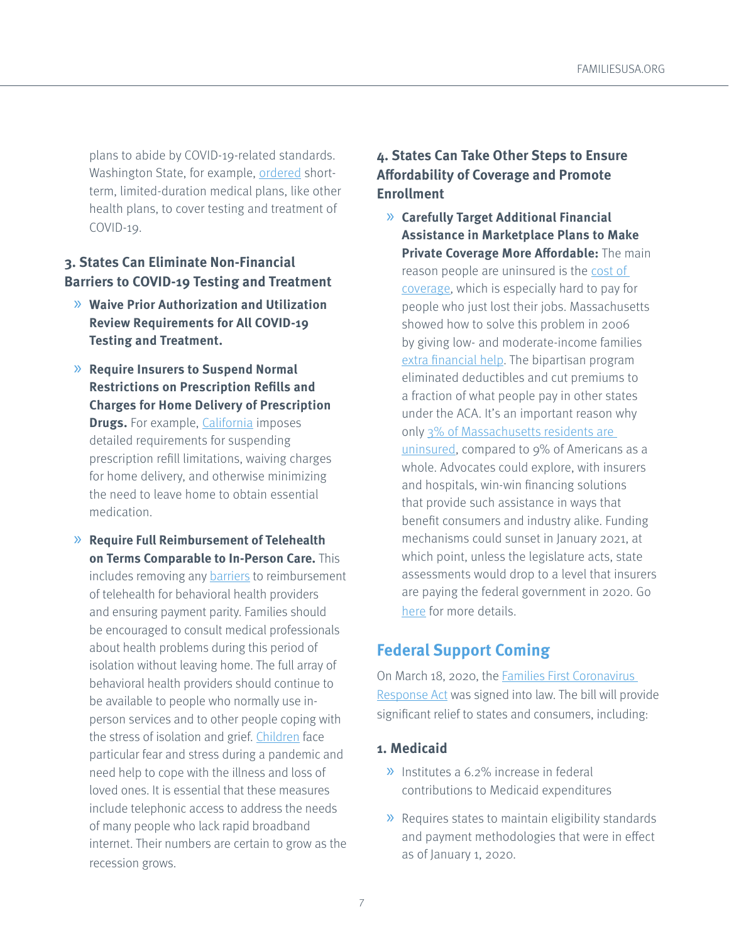plans to abide by COVID-19-related standards. Washington State, for example, [ordered](https://www.insurance.wa.gov/sites/default/files/documents/emergency-order-number-20-01.pdf?utm_content=&utm_medium=email&utm_name=&utm_source=govdelivery&utm_term=) shortterm, limited-duration medical plans, like other health plans, to cover testing and treatment of COVID-19.

### **3. States Can Eliminate Non-Financial Barriers to COVID-19 Testing and Treatment**

- » **Waive Prior Authorization and Utilization Review Requirements for All COVID-19 Testing and Treatment.**
- » **Require Insurers to Suspend Normal Restrictions on Prescription Refills and Charges for Home Delivery of Prescription Drugs.** For example, [California](http://www.insurance.ca.gov/0250-insurers/0300-insurers/0200-bulletins/bulletin-notices-commiss-opinion/upload/CDI-Emergency-Notification-Filing-Requirements-COVID-19-3-18-2020.pdf) imposes detailed requirements for suspending prescription refill limitations, waiving charges for home delivery, and otherwise minimizing the need to leave home to obtain essential medication.
- » **Require Full Reimbursement of Telehealth on Terms Comparable to In-Person Care.** This includes removing any [barriers](https://www.healthcarefinancenews.com/news/telehealth-laws-especially-behavioral-health-are-increasing-access-despite-remaining) to reimbursement of telehealth for behavioral health providers and ensuring payment parity. Families should be encouraged to consult medical professionals about health problems during this period of isolation without leaving home. The full array of behavioral health providers should continue to be available to people who normally use inperson services and to other people coping with the stress of isolation and grief. [Children](https://ajph.aphapublications.org/doi/pdf/10.2105/AJPH.2009.159970) face particular fear and stress during a pandemic and need help to cope with the illness and loss of loved ones. It is essential that these measures include telephonic access to address the needs of many people who lack rapid broadband internet. Their numbers are certain to grow as the recession grows.

## **4. States Can Take Other Steps to Ensure Affordability of Coverage and Promote Enrollment**

» **Carefully Target Additional Financial Assistance in Marketplace Plans to Make Private Coverage More Affordable:** The main reason people are uninsured is the [cost of](http://files.kff.org/attachment/Issue-Brief-Key-Facts-about-the-Uninsured-Population)  [coverage](http://files.kff.org/attachment/Issue-Brief-Key-Facts-about-the-Uninsured-Population), which is especially hard to pay for people who just lost their jobs. Massachusetts showed how to solve this problem in 2006 by giving low- and moderate-income families [extra financial help](https://www.healthaffairs.org/do/10.1377/hblog20180903.191590/full/). The bipartisan program eliminated deductibles and cut premiums to a fraction of what people pay in other states under the ACA. It's an important reason why only 3% of Massachusetts residents are [uninsured,](https://www.kff.org/other/state-indicator/total-population/?currentTimeframe=0&sortModel=%7B%22colId%22:%22Location%22,%22sort%22:%22asc%22%7D) compared to 9% of Americans as a whole. Advocates could explore, with insurers and hospitals, win-win financing solutions that provide such assistance in ways that benefit consumers and industry alike. Funding mechanisms could sunset in January 2021, at which point, unless the legislature acts, state assessments would drop to a level that insurers are paying the federal government in 2020. Go [here](https://familiesusa.org/resources/a-golden-opportunity-for-states-to-make-health-insurance-more-affordable-rapid-action-required/) for more details.

# **Federal Support Coming**

On March 18, 2020, the [Families First Coronavirus](https://appropriations.house.gov/sites/democrats.appropriations.house.gov/files/Families%20First%20summary.pdf)  [Response Act](https://appropriations.house.gov/sites/democrats.appropriations.house.gov/files/Families%20First%20summary.pdf) was signed into law. The bill will provide significant relief to states and consumers, including:

### **1. Medicaid**

- » Institutes a 6.2% increase in federal contributions to Medicaid expenditures
- » Requires states to maintain eligibility standards and payment methodologies that were in effect as of January 1, 2020.